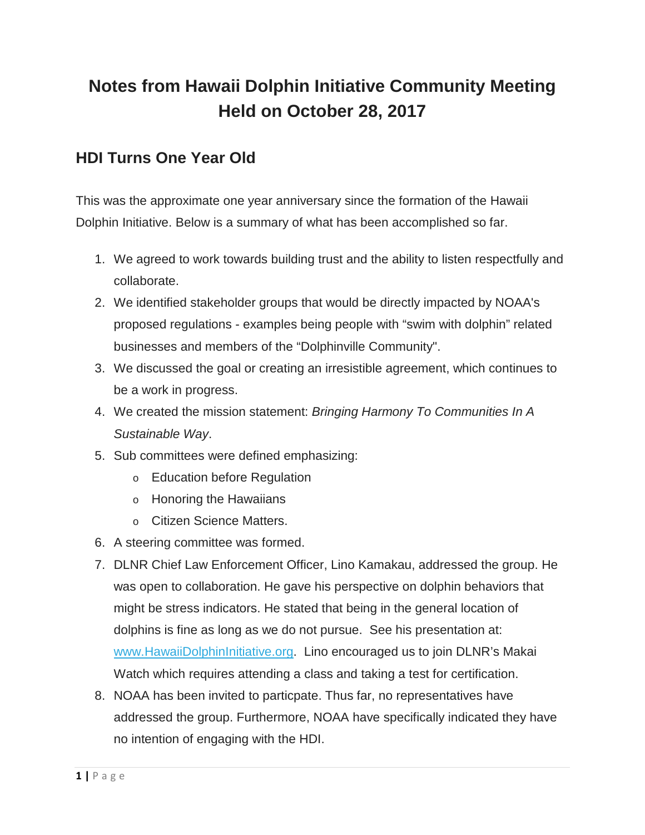# **Notes from Hawaii Dolphin Initiative Community Meeting Held on October 28, 2017**

## **HDI Turns One Year Old**

This was the approximate one year anniversary since the formation of the Hawaii Dolphin Initiative. Below is a summary of what has been accomplished so far.

- 1. We agreed to work towards building trust and the ability to listen respectfully and collaborate.
- 2. We identified stakeholder groups that would be directly impacted by NOAA's proposed regulations - examples being people with "swim with dolphin" related businesses and members of the "Dolphinville Community".
- 3. We discussed the goal or creating an irresistible agreement, which continues to be a work in progress.
- 4. We created the mission statement: *Bringing Harmony To Communities In A Sustainable Way*.
- 5. Sub committees were defined emphasizing:
	- o Education before Regulation
	- o Honoring the Hawaiians
	- o Citizen Science Matters.
- 6. A steering committee was formed.
- 7. DLNR Chief Law Enforcement Officer, Lino Kamakau, addressed the group. He was open to collaboration. He gave his perspective on dolphin behaviors that might be stress indicators. He stated that being in the general location of dolphins is fine as long as we do not pursue. See his presentation at: www.HawaiiDolphinInitiative.org. Lino encouraged us to join DLNR's Makai Watch which requires attending a class and taking a test for certification.
- 8. NOAA has been invited to particpate. Thus far, no representatives have addressed the group. Furthermore, NOAA have specifically indicated they have no intention of engaging with the HDI.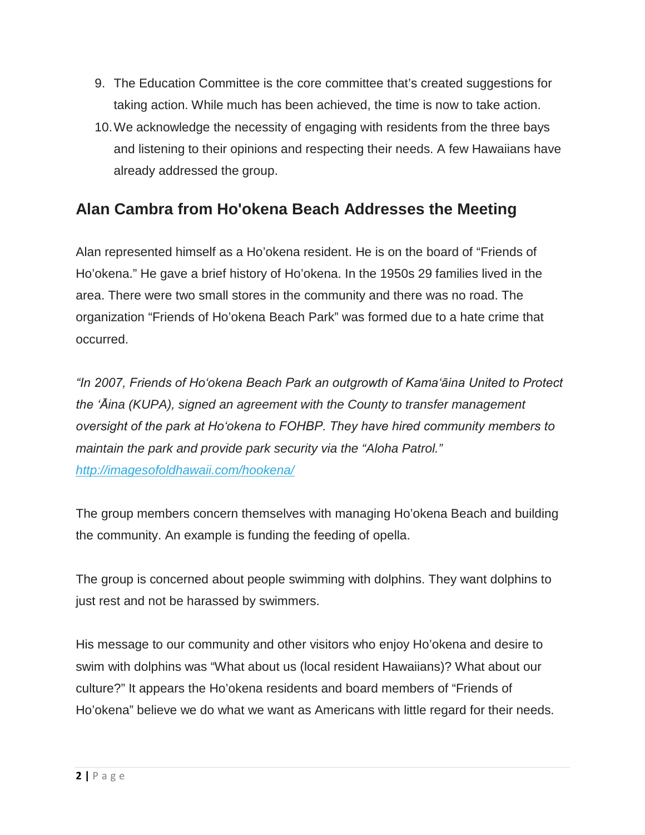- 9. The Education Committee is the core committee that's created suggestions for taking action. While much has been achieved, the time is now to take action.
- 10.We acknowledge the necessity of engaging with residents from the three bays and listening to their opinions and respecting their needs. A few Hawaiians have already addressed the group.

# **Alan Cambra from Ho'okena Beach Addresses the Meeting**

Alan represented himself as a Ho'okena resident. He is on the board of "Friends of Ho'okena." He gave a brief history of Ho'okena. In the 1950s 29 families lived in the area. There were two small stores in the community and there was no road. The organization "Friends of Ho'okena Beach Park" was formed due to a hate crime that occurred.

*"In 2007, Friends of Hoʻokena Beach Park an outgrowth of Kamaʻāina United to Protect the ʻĀina (KUPA), signed an agreement with the County to transfer management oversight of the park at Hoʻokena to FOHBP. They have hired community members to maintain the park and provide park security via the "Aloha Patrol." http://imagesofoldhawaii.com/hookena/*

The group members concern themselves with managing Ho'okena Beach and building the community. An example is funding the feeding of opella.

The group is concerned about people swimming with dolphins. They want dolphins to just rest and not be harassed by swimmers.

His message to our community and other visitors who enjoy Ho'okena and desire to swim with dolphins was "What about us (local resident Hawaiians)? What about our culture?" It appears the Ho'okena residents and board members of "Friends of Ho'okena" believe we do what we want as Americans with little regard for their needs.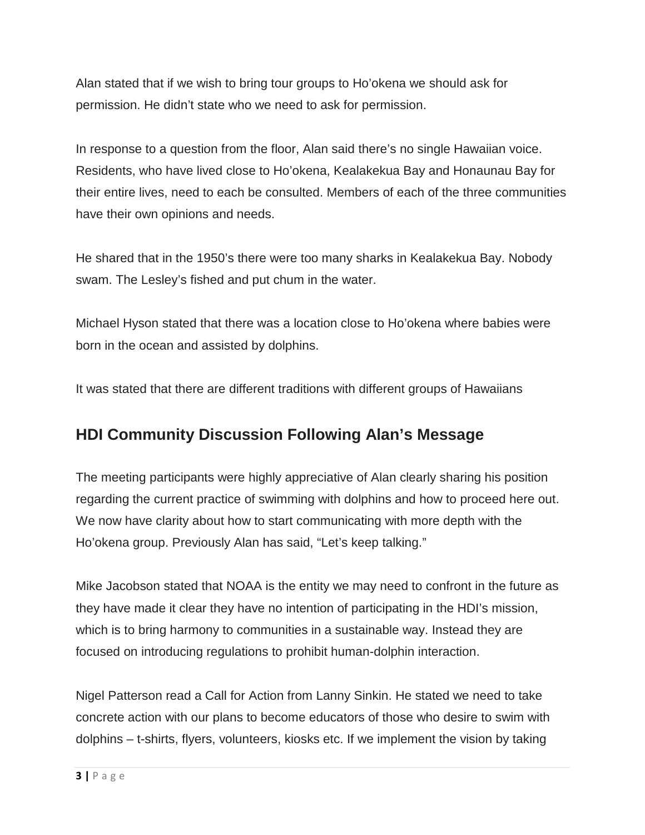Alan stated that if we wish to bring tour groups to Ho'okena we should ask for permission. He didn't state who we need to ask for permission.

In response to a question from the floor, Alan said there's no single Hawaiian voice. Residents, who have lived close to Ho'okena, Kealakekua Bay and Honaunau Bay for their entire lives, need to each be consulted. Members of each of the three communities have their own opinions and needs.

He shared that in the 1950's there were too many sharks in Kealakekua Bay. Nobody swam. The Lesley's fished and put chum in the water.

Michael Hyson stated that there was a location close to Ho'okena where babies were born in the ocean and assisted by dolphins.

It was stated that there are different traditions with different groups of Hawaiians

## **HDI Community Discussion Following Alan's Message**

The meeting participants were highly appreciative of Alan clearly sharing his position regarding the current practice of swimming with dolphins and how to proceed here out. We now have clarity about how to start communicating with more depth with the Ho'okena group. Previously Alan has said, "Let's keep talking."

Mike Jacobson stated that NOAA is the entity we may need to confront in the future as they have made it clear they have no intention of participating in the HDI's mission, which is to bring harmony to communities in a sustainable way. Instead they are focused on introducing regulations to prohibit human-dolphin interaction.

Nigel Patterson read a Call for Action from Lanny Sinkin. He stated we need to take concrete action with our plans to become educators of those who desire to swim with dolphins – t-shirts, flyers, volunteers, kiosks etc. If we implement the vision by taking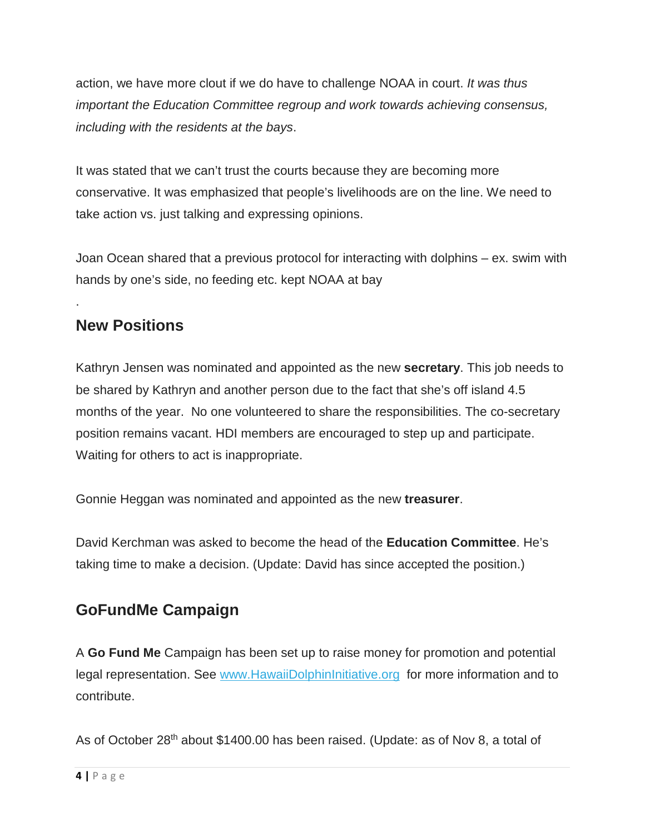action, we have more clout if we do have to challenge NOAA in court. *It was thus important the Education Committee regroup and work towards achieving consensus, including with the residents at the bays*.

It was stated that we can't trust the courts because they are becoming more conservative. It was emphasized that people's livelihoods are on the line. We need to take action vs. just talking and expressing opinions.

Joan Ocean shared that a previous protocol for interacting with dolphins – ex. swim with hands by one's side, no feeding etc. kept NOAA at bay

## **New Positions**

.

Kathryn Jensen was nominated and appointed as the new **secretary**. This job needs to be shared by Kathryn and another person due to the fact that she's off island 4.5 months of the year. No one volunteered to share the responsibilities. The co-secretary position remains vacant. HDI members are encouraged to step up and participate. Waiting for others to act is inappropriate.

Gonnie Heggan was nominated and appointed as the new **treasurer**.

David Kerchman was asked to become the head of the **Education Committee**. He's taking time to make a decision. (Update: David has since accepted the position.)

# **GoFundMe Campaign**

A **Go Fund Me** Campaign has been set up to raise money for promotion and potential legal representation. See www.HawaiiDolphinInitiative.org for more information and to contribute.

As of October 28<sup>th</sup> about \$1400.00 has been raised. (Update: as of Nov 8, a total of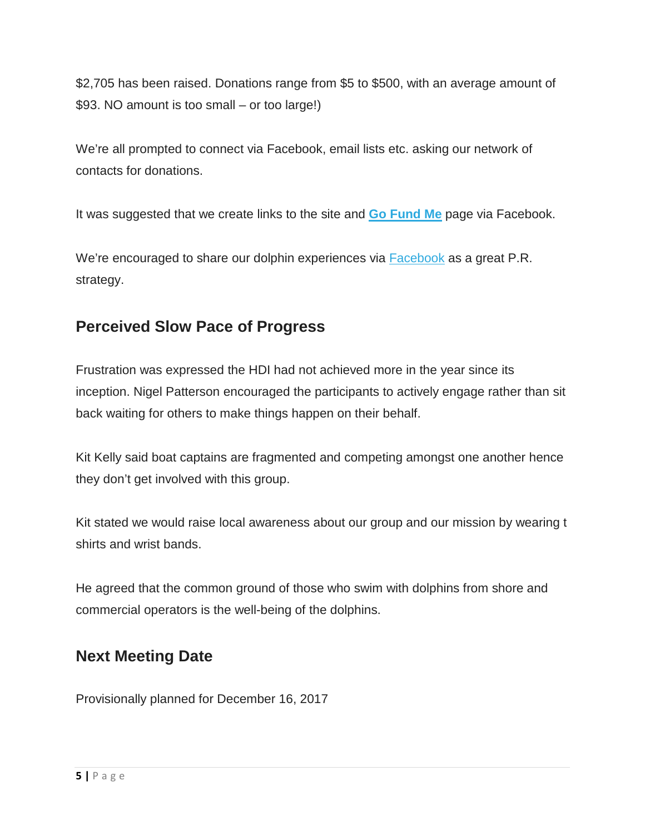\$2,705 has been raised. Donations range from \$5 to \$500, with an average amount of \$93. NO amount is too small – or too large!)

We're all prompted to connect via Facebook, email lists etc. asking our network of contacts for donations.

It was suggested that we create links to the site and **Go Fund Me** page via Facebook.

We're encouraged to share our dolphin experiences via Facebook as a great P.R. strategy.

## **Perceived Slow Pace of Progress**

Frustration was expressed the HDI had not achieved more in the year since its inception. Nigel Patterson encouraged the participants to actively engage rather than sit back waiting for others to make things happen on their behalf.

Kit Kelly said boat captains are fragmented and competing amongst one another hence they don't get involved with this group.

Kit stated we would raise local awareness about our group and our mission by wearing t shirts and wrist bands.

He agreed that the common ground of those who swim with dolphins from shore and commercial operators is the well-being of the dolphins.

## **Next Meeting Date**

Provisionally planned for December 16, 2017